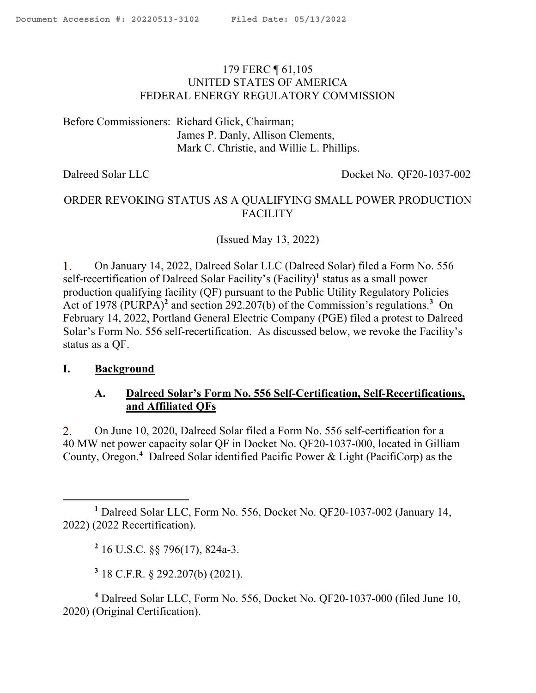### <span id="page-0-0"></span>179 FERC ¶ 61,105 UNITED STATES OF AMERICA FEDERAL ENERGY REGULATORY COMMISSION

Before Commissioners: Richard Glick, Chairman; James P. Danly, Allison Clements, Mark C. Christie, and Willie L. Phillips.

Dalreed Solar LLC Docket No. QF20-1037-002

# ORDER REVOKING STATUS AS A QUALIFYING SMALL POWER PRODUCTION **FACILITY**

(Issued May 13, 2022)

 $\mathbf{1}$ . On January 14, 2022, Dalreed Solar LLC (Dalreed Solar) filed a Form No. 556 self-recertification of Dalreed Solar Facility's (Facility)**<sup>1</sup>** status as a small power production qualifying facility (QF) pursuant to the Public Utility Regulatory Policies Act of 1978 (PURPA)**<sup>2</sup>** and section 292.207(b) of the Commission's regulations.**<sup>3</sup>** On February 14, 2022, Portland General Electric Company (PGE) filed a protest to Dalreed Solar's Form No. 556 self-recertification. As discussed below, we revoke the Facility's status as a QF.

### **I. Background**

 $\overline{a}$ 

## **A. Dalreed Solar's Form No. 556 Self-Certification, Self-Recertifications, and Affiliated QFs**

2. On June 10, 2020, Dalreed Solar filed a Form No. 556 self-certification for a 40 MW net power capacity solar QF in Docket No. QF20-1037-000, located in Gilliam County, Oregon.**<sup>4</sup>** Dalreed Solar identified Pacific Power & Light (PacifiCorp) as the

**2** 16 U.S.C. §§ 796(17), 824a-3.

**3** 18 C.F.R. § 292.207(b) (2021).

**<sup>4</sup>** Dalreed Solar LLC, Form No. 556, Docket No. QF20-1037-000 (filed June 10, 2020) (Original Certification).

**<sup>1</sup>** Dalreed Solar LLC, Form No. 556, Docket No. QF20-1037-002 (January 14, 2022) (2022 Recertification).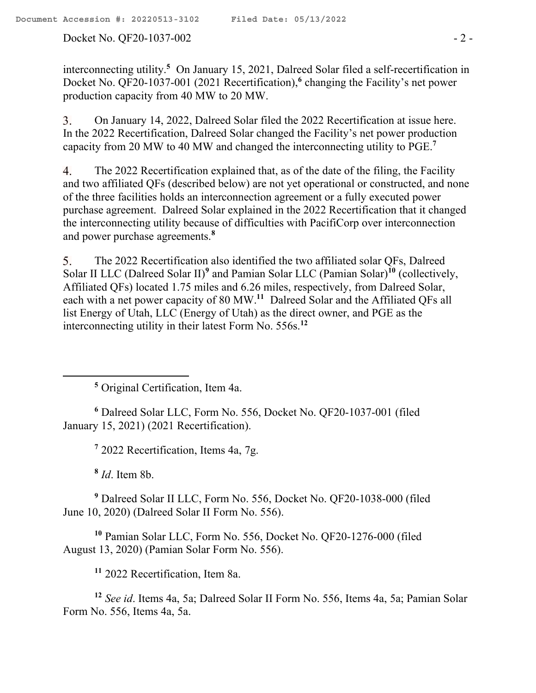Docket No. QF20-1037-002 - 2 -

interconnecting utility.**<sup>5</sup>** On January 15, 2021, Dalreed Solar filed a self-recertification in Docket No. QF20-1037-001 (2021 Recertification), **6** changing the Facility's net power production capacity from 40 MW to 20 MW.

3. On January 14, 2022, Dalreed Solar filed the 2022 Recertification at issue here. In the 2022 Recertification, Dalreed Solar changed the Facility's net power production capacity from 20 MW to 40 MW and changed the interconnecting utility to PGE.**<sup>7</sup>**

The 2022 Recertification explained that, as of the date of the filing, the Facility 4. and two affiliated QFs (described below) are not yet operational or constructed, and none of the three facilities holds an interconnection agreement or a fully executed power purchase agreement. Dalreed Solar explained in the 2022 Recertification that it changed the interconnecting utility because of difficulties with PacifiCorp over interconnection and power purchase agreements. **8**

The 2022 Recertification also identified the two affiliated solar QFs, Dalreed 5. Solar II LLC (Dalreed Solar II)**<sup>9</sup>** and Pamian Solar LLC (Pamian Solar)**<sup>10</sup>** (collectively, Affiliated QFs) located 1.75 miles and 6.26 miles, respectively, from Dalreed Solar, each with a net power capacity of 80 MW.**<sup>11</sup>** Dalreed Solar and the Affiliated QFs all list Energy of Utah, LLC (Energy of Utah) as the direct owner, and PGE as the interconnecting utility in their latest Form No. 556s. **12**

**<sup>5</sup>** Original Certification, Item 4a.

**<sup>6</sup>** Dalreed Solar LLC, Form No. 556, Docket No. QF20-1037-001 (filed January 15, 2021) (2021 Recertification).

**7** 2022 Recertification, Items 4a, 7g.

**8** *Id*. Item 8b.

 $\overline{a}$ 

**<sup>9</sup>** Dalreed Solar II LLC, Form No. 556, Docket No. QF20-1038-000 (filed June 10, 2020) (Dalreed Solar II Form No. 556).

**<sup>10</sup>** Pamian Solar LLC, Form No. 556, Docket No. QF20-1276-000 (filed August 13, 2020) (Pamian Solar Form No. 556).

**<sup>11</sup>** 2022 Recertification, Item 8a.

**<sup>12</sup>** *See id*. Items 4a, 5a; Dalreed Solar II Form No. 556, Items 4a, 5a; Pamian Solar Form No. 556, Items 4a, 5a.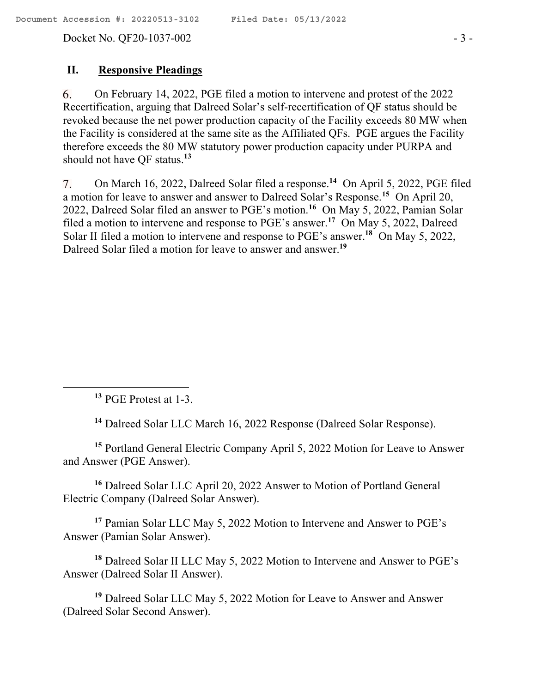Docket No. QF20-1037-002 - 3 -

### **II. Responsive Pleadings**

6. On February 14, 2022, PGE filed a motion to intervene and protest of the 2022 Recertification, arguing that Dalreed Solar's self-recertification of QF status should be revoked because the net power production capacity of the Facility exceeds 80 MW when the Facility is considered at the same site as the Affiliated QFs. PGE argues the Facility therefore exceeds the 80 MW statutory power production capacity under PURPA and should not have QF status.**<sup>13</sup>**

On March 16, 2022, Dalreed Solar filed a response.**<sup>14</sup>** On April 5, 2022, PGE filed 7. a motion for leave to answer and answer to Dalreed Solar's Response.**<sup>15</sup>** On April 20, 2022, Dalreed Solar filed an answer to PGE's motion. **16** On May 5, 2022, Pamian Solar filed a motion to intervene and response to PGE's answer. **17** On May 5, 2022, Dalreed Solar II filed a motion to intervene and response to PGE's answer.<sup>18</sup> On May 5, 2022, Dalreed Solar filed a motion for leave to answer and answer.**<sup>19</sup>**

**<sup>13</sup>** PGE Protest at 1-3.

**<sup>14</sup>** Dalreed Solar LLC March 16, 2022 Response (Dalreed Solar Response).

**<sup>15</sup>** Portland General Electric Company April 5, 2022 Motion for Leave to Answer and Answer (PGE Answer).

**<sup>16</sup>** Dalreed Solar LLC April 20, 2022 Answer to Motion of Portland General Electric Company (Dalreed Solar Answer).

**<sup>17</sup>** Pamian Solar LLC May 5, 2022 Motion to Intervene and Answer to PGE's Answer (Pamian Solar Answer).

**<sup>18</sup>** Dalreed Solar II LLC May 5, 2022 Motion to Intervene and Answer to PGE's Answer (Dalreed Solar II Answer).

**<sup>19</sup>** Dalreed Solar LLC May 5, 2022 Motion for Leave to Answer and Answer (Dalreed Solar Second Answer).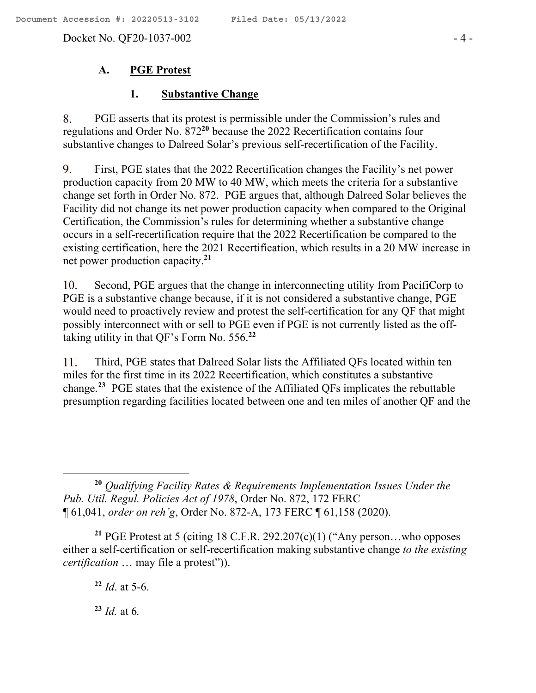Docket No. QF20-1037-002 - 4 -

## **A. PGE Protest**

### **1. Substantive Change**

8. PGE asserts that its protest is permissible under the Commission's rules and regulations and Order No. 872**<sup>20</sup>** because the 2022 Recertification contains four substantive changes to Dalreed Solar's previous self-recertification of the Facility.

9. First, PGE states that the 2022 Recertification changes the Facility's net power production capacity from 20 MW to 40 MW, which meets the criteria for a substantive change set forth in Order No. 872. PGE argues that, although Dalreed Solar believes the Facility did not change its net power production capacity when compared to the Original Certification, the Commission's rules for determining whether a substantive change occurs in a self-recertification require that the 2022 Recertification be compared to the existing certification, here the 2021 Recertification, which results in a 20 MW increase in net power production capacity.**<sup>21</sup>**

Second, PGE argues that the change in interconnecting utility from PacifiCorp to 10. PGE is a substantive change because, if it is not considered a substantive change, PGE would need to proactively review and protest the self-certification for any QF that might possibly interconnect with or sell to PGE even if PGE is not currently listed as the offtaking utility in that QF's Form No. 556. **22**

Third, PGE states that Dalreed Solar lists the Affiliated QFs located within ten 11. miles for the first time in its 2022 Recertification, which constitutes a substantive change.<sup>23</sup> PGE states that the existence of the Affiliated QFs implicates the rebuttable presumption regarding facilities located between one and ten miles of another QF and the

**<sup>21</sup>** PGE Protest at 5 (citing 18 C.F.R. 292.207(c)(1) ("Any person…who opposes either a self-certification or self-recertification making substantive change *to the existing certification* … may file a protest")).

**<sup>22</sup>** *Id*. at 5-6.

 $\overline{a}$ 

**<sup>23</sup>** *Id.* at 6*.*

**<sup>20</sup>** *Qualifying Facility Rates & Requirements Implementation Issues Under the Pub. Util. Regul. Policies Act of 1978*, Order No. 872, 172 FERC ¶ 61,041, *order on reh'g*, Order No. 872-A, 173 FERC ¶ 61,158 (2020).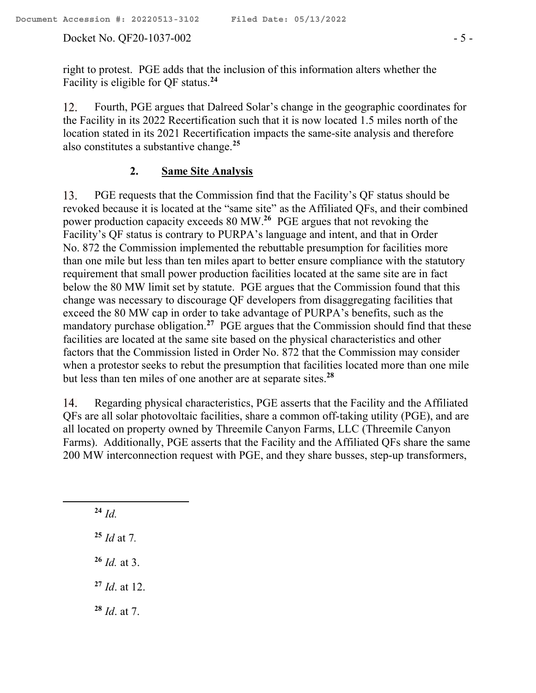Docket No. QF20-1037-002 - 5 -

right to protest. PGE adds that the inclusion of this information alters whether the Facility is eligible for QF status.**<sup>24</sup>**

Fourth, PGE argues that Dalreed Solar's change in the geographic coordinates for 12. the Facility in its 2022 Recertification such that it is now located 1.5 miles north of the location stated in its 2021 Recertification impacts the same-site analysis and therefore also constitutes a substantive change.**<sup>25</sup>**

### **2. Same Site Analysis**

13. PGE requests that the Commission find that the Facility's QF status should be revoked because it is located at the "same site" as the Affiliated QFs, and their combined power production capacity exceeds 80 MW.**<sup>26</sup>** PGE argues that not revoking the Facility's QF status is contrary to PURPA's language and intent, and that in Order No. 872 the Commission implemented the rebuttable presumption for facilities more than one mile but less than ten miles apart to better ensure compliance with the statutory requirement that small power production facilities located at the same site are in fact below the 80 MW limit set by statute. PGE argues that the Commission found that this change was necessary to discourage QF developers from disaggregating facilities that exceed the 80 MW cap in order to take advantage of PURPA's benefits, such as the mandatory purchase obligation.<sup>27</sup> PGE argues that the Commission should find that these facilities are located at the same site based on the physical characteristics and other factors that the Commission listed in Order No. 872 that the Commission may consider when a protestor seeks to rebut the presumption that facilities located more than one mile but less than ten miles of one another are at separate sites.**<sup>28</sup>**

Regarding physical characteristics, PGE asserts that the Facility and the Affiliated 14. QFs are all solar photovoltaic facilities, share a common off-taking utility (PGE), and are all located on property owned by Threemile Canyon Farms, LLC (Threemile Canyon Farms). Additionally, PGE asserts that the Facility and the Affiliated QFs share the same 200 MW interconnection request with PGE, and they share busses, step-up transformers,

 $^{24}$  *Id*.

**<sup>25</sup>** *Id* at 7*.*

**<sup>26</sup>** *Id.* at 3.

**<sup>27</sup>** *Id*. at 12.

**<sup>28</sup>** *Id*. at 7.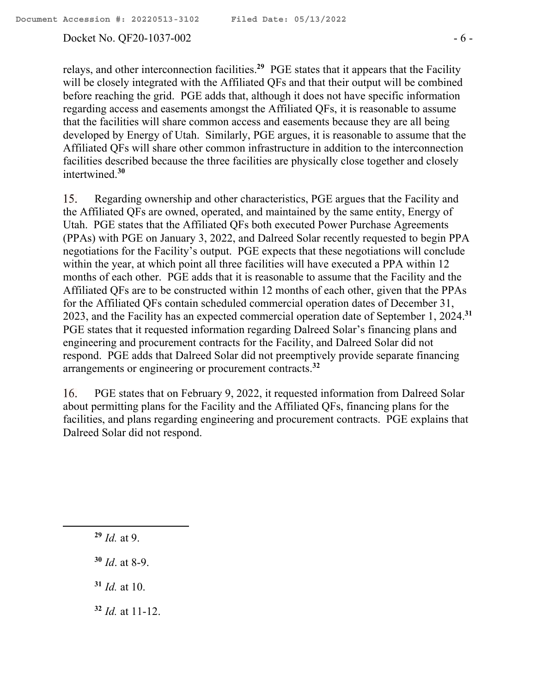#### Docket No. QF20-1037-002 - 6 -

relays, and other interconnection facilities.**<sup>29</sup>** PGE states that it appears that the Facility will be closely integrated with the Affiliated QFs and that their output will be combined before reaching the grid. PGE adds that, although it does not have specific information regarding access and easements amongst the Affiliated QFs, it is reasonable to assume that the facilities will share common access and easements because they are all being developed by Energy of Utah. Similarly, PGE argues, it is reasonable to assume that the Affiliated QFs will share other common infrastructure in addition to the interconnection facilities described because the three facilities are physically close together and closely intertwined.**<sup>30</sup>**

 $15.$ Regarding ownership and other characteristics, PGE argues that the Facility and the Affiliated QFs are owned, operated, and maintained by the same entity, Energy of Utah. PGE states that the Affiliated QFs both executed Power Purchase Agreements (PPAs) with PGE on January 3, 2022, and Dalreed Solar recently requested to begin PPA negotiations for the Facility's output. PGE expects that these negotiations will conclude within the year, at which point all three facilities will have executed a PPA within 12 months of each other. PGE adds that it is reasonable to assume that the Facility and the Affiliated QFs are to be constructed within 12 months of each other, given that the PPAs for the Affiliated QFs contain scheduled commercial operation dates of December 31, 2023, and the Facility has an expected commercial operation date of September 1, 2024. **31** PGE states that it requested information regarding Dalreed Solar's financing plans and engineering and procurement contracts for the Facility, and Dalreed Solar did not respond. PGE adds that Dalreed Solar did not preemptively provide separate financing arrangements or engineering or procurement contracts.**<sup>32</sup>**

16. PGE states that on February 9, 2022, it requested information from Dalreed Solar about permitting plans for the Facility and the Affiliated QFs, financing plans for the facilities, and plans regarding engineering and procurement contracts. PGE explains that Dalreed Solar did not respond.

**<sup>29</sup>** *Id.* at 9.

 $\overline{a}$ 

- **<sup>30</sup>** *Id*. at 8-9.
- **<sup>31</sup>** *Id.* at 10.
- **<sup>32</sup>** *Id.* at 11-12.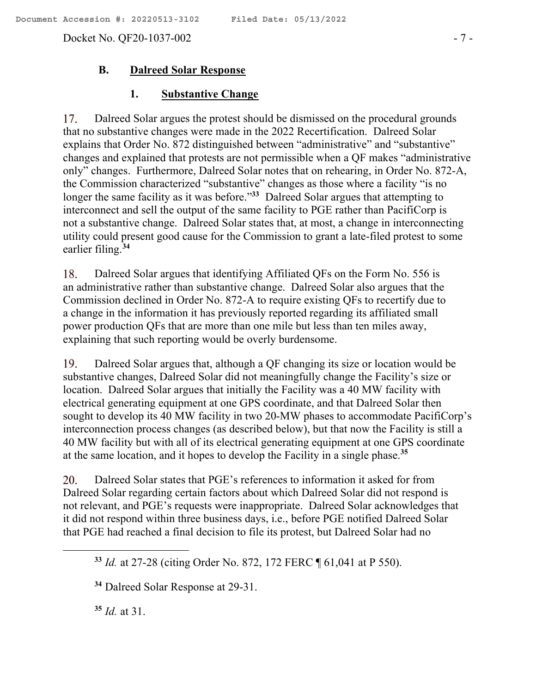Docket No. QF20-1037-002 - 7 -

### **B. Dalreed Solar Response**

### **1. Substantive Change**

17. Dalreed Solar argues the protest should be dismissed on the procedural grounds that no substantive changes were made in the 2022 Recertification. Dalreed Solar explains that Order No. 872 distinguished between "administrative" and "substantive" changes and explained that protests are not permissible when a QF makes "administrative only" changes. Furthermore, Dalreed Solar notes that on rehearing, in Order No. 872-A, the Commission characterized "substantive" changes as those where a facility "is no longer the same facility as it was before."<sup>33</sup> Dalreed Solar argues that attempting to interconnect and sell the output of the same facility to PGE rather than PacifiCorp is not a substantive change. Dalreed Solar states that, at most, a change in interconnecting utility could present good cause for the Commission to grant a late-filed protest to some earlier filing.**<sup>34</sup>**

18. Dalreed Solar argues that identifying Affiliated QFs on the Form No. 556 is an administrative rather than substantive change. Dalreed Solar also argues that the Commission declined in Order No. 872-A to require existing QFs to recertify due to a change in the information it has previously reported regarding its affiliated small power production QFs that are more than one mile but less than ten miles away, explaining that such reporting would be overly burdensome.

Dalreed Solar argues that, although a QF changing its size or location would be 19. substantive changes, Dalreed Solar did not meaningfully change the Facility's size or location. Dalreed Solar argues that initially the Facility was a 40 MW facility with electrical generating equipment at one GPS coordinate, and that Dalreed Solar then sought to develop its 40 MW facility in two 20-MW phases to accommodate PacifiCorp's interconnection process changes (as described below), but that now the Facility is still a 40 MW facility but with all of its electrical generating equipment at one GPS coordinate at the same location, and it hopes to develop the Facility in a single phase.**<sup>35</sup>**

Dalreed Solar states that PGE's references to information it asked for from 20. Dalreed Solar regarding certain factors about which Dalreed Solar did not respond is not relevant, and PGE's requests were inappropriate. Dalreed Solar acknowledges that it did not respond within three business days, i.e., before PGE notified Dalreed Solar that PGE had reached a final decision to file its protest, but Dalreed Solar had no

**<sup>34</sup>** Dalreed Solar Response at 29-31.

**<sup>35</sup>** *Id.* at 31.

 $\overline{a}$ 

**<sup>33</sup>** *Id.* at 27-28 (citing Order No. 872, 172 FERC ¶ 61,041 at P 550).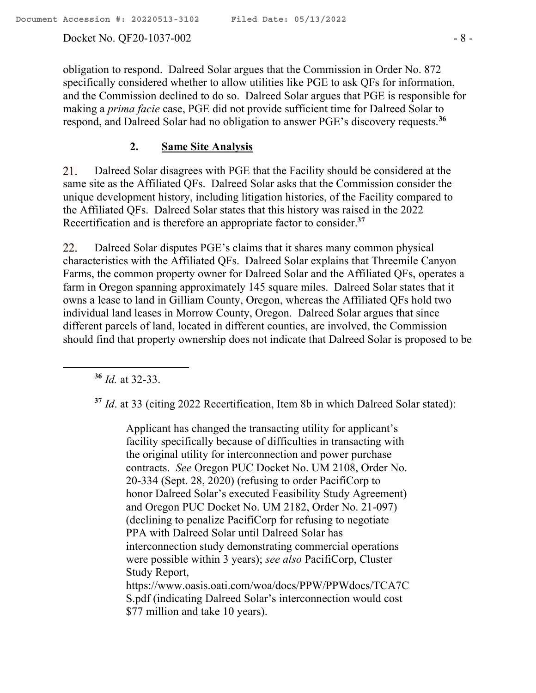Docket No. QF20-1037-002 - 8 -

obligation to respond. Dalreed Solar argues that the Commission in Order No. 872 specifically considered whether to allow utilities like PGE to ask QFs for information, and the Commission declined to do so. Dalreed Solar argues that PGE is responsible for making a *prima facie* case, PGE did not provide sufficient time for Dalreed Solar to respond, and Dalreed Solar had no obligation to answer PGE's discovery requests.**<sup>36</sup>**

### **2. Same Site Analysis**

21. Dalreed Solar disagrees with PGE that the Facility should be considered at the same site as the Affiliated QFs. Dalreed Solar asks that the Commission consider the unique development history, including litigation histories, of the Facility compared to the Affiliated QFs. Dalreed Solar states that this history was raised in the 2022 Recertification and is therefore an appropriate factor to consider.**<sup>37</sup>**

22. Dalreed Solar disputes PGE's claims that it shares many common physical characteristics with the Affiliated QFs. Dalreed Solar explains that Threemile Canyon Farms, the common property owner for Dalreed Solar and the Affiliated QFs, operates a farm in Oregon spanning approximately 145 square miles. Dalreed Solar states that it owns a lease to land in Gilliam County, Oregon, whereas the Affiliated QFs hold two individual land leases in Morrow County, Oregon. Dalreed Solar argues that since different parcels of land, located in different counties, are involved, the Commission should find that property ownership does not indicate that Dalreed Solar is proposed to be

**<sup>36</sup>** *Id.* at 32-33.

 $\overline{a}$ 

**<sup>37</sup>** *Id*. at 33 (citing 2022 Recertification, Item 8b in which Dalreed Solar stated):

Applicant has changed the transacting utility for applicant's facility specifically because of difficulties in transacting with the original utility for interconnection and power purchase contracts. *See* Oregon PUC Docket No. UM 2108, Order No. 20-334 (Sept. 28, 2020) (refusing to order PacifiCorp to honor Dalreed Solar's executed Feasibility Study Agreement) and Oregon PUC Docket No. UM 2182, Order No. 21-097) (declining to penalize PacifiCorp for refusing to negotiate PPA with Dalreed Solar until Dalreed Solar has interconnection study demonstrating commercial operations were possible within 3 years); *see also* PacifiCorp, Cluster Study Report, https://www.oasis.oati.com/woa/docs/PPW/PPWdocs/TCA7C S.pdf (indicating Dalreed Solar's interconnection would cost \$77 million and take 10 years).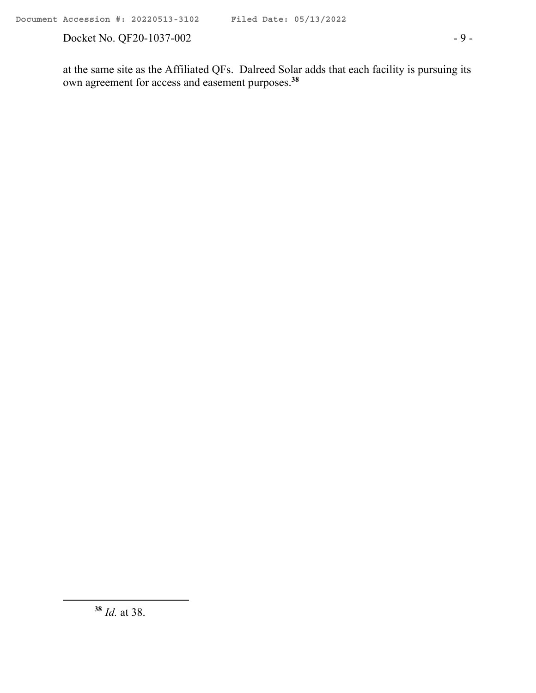Docket No. QF20-1037-002 - 9 -

at the same site as the Affiliated QFs. Dalreed Solar adds that each facility is pursuing its own agreement for access and easement purposes.**<sup>38</sup>**

 $\overline{a}$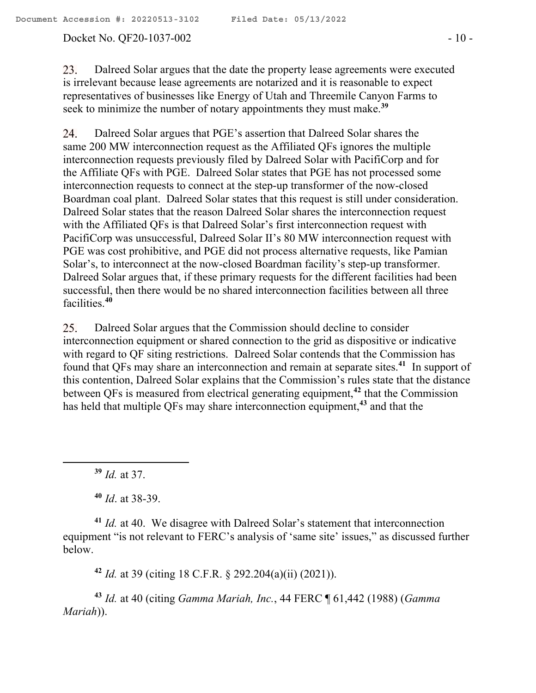#### Docket No. QF20-1037-002 - 10 -

23. Dalreed Solar argues that the date the property lease agreements were executed is irrelevant because lease agreements are notarized and it is reasonable to expect representatives of businesses like Energy of Utah and Threemile Canyon Farms to seek to minimize the number of notary appointments they must make.**<sup>39</sup>**

Dalreed Solar argues that PGE's assertion that Dalreed Solar shares the 24. same 200 MW interconnection request as the Affiliated QFs ignores the multiple interconnection requests previously filed by Dalreed Solar with PacifiCorp and for the Affiliate QFs with PGE. Dalreed Solar states that PGE has not processed some interconnection requests to connect at the step-up transformer of the now-closed Boardman coal plant. Dalreed Solar states that this request is still under consideration. Dalreed Solar states that the reason Dalreed Solar shares the interconnection request with the Affiliated QFs is that Dalreed Solar's first interconnection request with PacifiCorp was unsuccessful, Dalreed Solar II's 80 MW interconnection request with PGE was cost prohibitive, and PGE did not process alternative requests, like Pamian Solar's, to interconnect at the now-closed Boardman facility's step-up transformer. Dalreed Solar argues that, if these primary requests for the different facilities had been successful, then there would be no shared interconnection facilities between all three facilities.**<sup>40</sup>**

Dalreed Solar argues that the Commission should decline to consider 25. interconnection equipment or shared connection to the grid as dispositive or indicative with regard to QF siting restrictions. Dalreed Solar contends that the Commission has found that QFs may share an interconnection and remain at separate sites. **<sup>41</sup>** In support of this contention, Dalreed Solar explains that the Commission's rules state that the distance between QFs is measured from electrical generating equipment,**<sup>42</sup>** that the Commission has held that multiple QFs may share interconnection equipment,**<sup>43</sup>** and that the

**<sup>39</sup>** *Id.* at 37.

 $\overline{a}$ 

**<sup>40</sup>** *Id*. at 38-39.

**<sup>41</sup>** *Id.* at 40. We disagree with Dalreed Solar's statement that interconnection equipment "is not relevant to FERC's analysis of 'same site' issues," as discussed further below.

**<sup>42</sup>** *Id.* at 39 (citing 18 C.F.R. § 292.204(a)(ii) (2021)).

**<sup>43</sup>** *Id.* at 40 (citing *Gamma Mariah, Inc.*, 44 FERC ¶ 61,442 (1988) (*Gamma Mariah*)).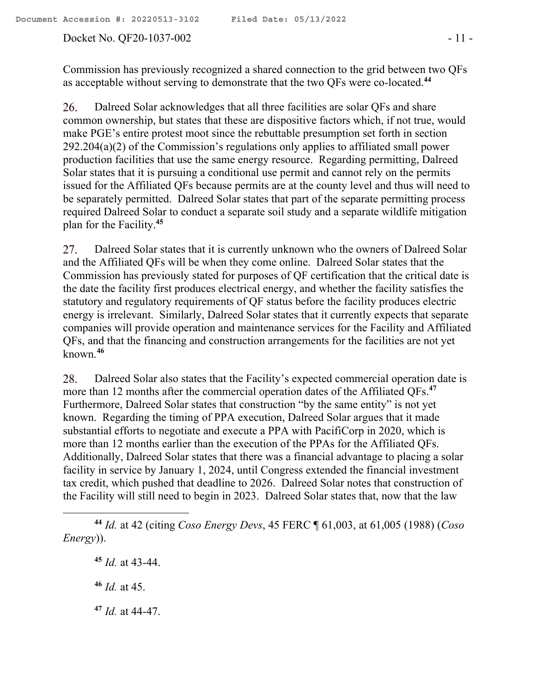### Docket No. QF20-1037-002 - 11 -

Commission has previously recognized a shared connection to the grid between two QFs as acceptable without serving to demonstrate that the two QFs were co-located.**<sup>44</sup>**

26. Dalreed Solar acknowledges that all three facilities are solar QFs and share common ownership, but states that these are dispositive factors which, if not true, would make PGE's entire protest moot since the rebuttable presumption set forth in section 292.204(a)(2) of the Commission's regulations only applies to affiliated small power production facilities that use the same energy resource. Regarding permitting, Dalreed Solar states that it is pursuing a conditional use permit and cannot rely on the permits issued for the Affiliated QFs because permits are at the county level and thus will need to be separately permitted. Dalreed Solar states that part of the separate permitting process required Dalreed Solar to conduct a separate soil study and a separate wildlife mitigation plan for the Facility.**<sup>45</sup>**

27. Dalreed Solar states that it is currently unknown who the owners of Dalreed Solar and the Affiliated QFs will be when they come online. Dalreed Solar states that the Commission has previously stated for purposes of QF certification that the critical date is the date the facility first produces electrical energy, and whether the facility satisfies the statutory and regulatory requirements of QF status before the facility produces electric energy is irrelevant. Similarly, Dalreed Solar states that it currently expects that separate companies will provide operation and maintenance services for the Facility and Affiliated QFs, and that the financing and construction arrangements for the facilities are not yet known.**<sup>46</sup>**

Dalreed Solar also states that the Facility's expected commercial operation date is 28. more than 12 months after the commercial operation dates of the Affiliated QFs.**<sup>47</sup>** Furthermore, Dalreed Solar states that construction "by the same entity" is not yet known. Regarding the timing of PPA execution, Dalreed Solar argues that it made substantial efforts to negotiate and execute a PPA with PacifiCorp in 2020, which is more than 12 months earlier than the execution of the PPAs for the Affiliated QFs. Additionally, Dalreed Solar states that there was a financial advantage to placing a solar facility in service by January 1, 2024, until Congress extended the financial investment tax credit, which pushed that deadline to 2026. Dalreed Solar notes that construction of the Facility will still need to begin in 2023. Dalreed Solar states that, now that the law

**<sup>45</sup>** *Id.* at 43-44.

**<sup>46</sup>** *Id.* at 45.

 $\overline{a}$ 

**<sup>47</sup>** *Id.* at 44-47.

**<sup>44</sup>** *Id.* at 42 (citing *Coso Energy Devs*, 45 FERC ¶ 61,003, at 61,005 (1988) (*Coso Energy*)).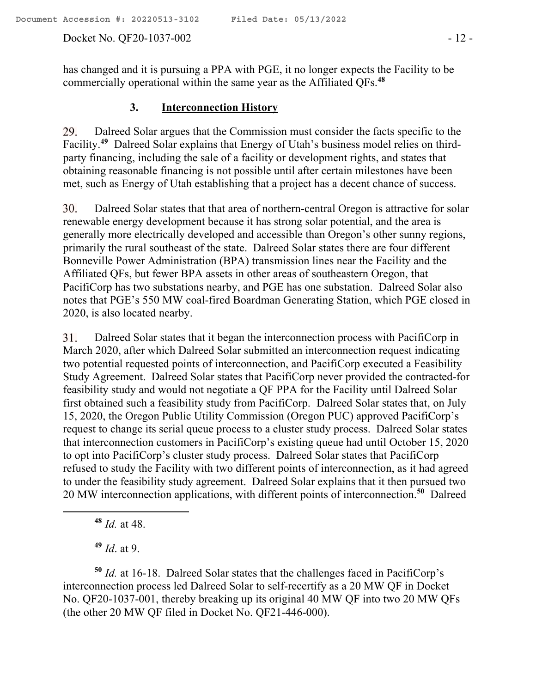#### Docket No. QF20-1037-002 - 12 -

has changed and it is pursuing a PPA with PGE, it no longer expects the Facility to be commercially operational within the same year as the Affiliated QFs.**<sup>48</sup>**

### **3. Interconnection History**

Dalreed Solar argues that the Commission must consider the facts specific to the 29. Facility.<sup>49</sup> Dalreed Solar explains that Energy of Utah's business model relies on thirdparty financing, including the sale of a facility or development rights, and states that obtaining reasonable financing is not possible until after certain milestones have been met, such as Energy of Utah establishing that a project has a decent chance of success.

30. Dalreed Solar states that that area of northern-central Oregon is attractive for solar renewable energy development because it has strong solar potential, and the area is generally more electrically developed and accessible than Oregon's other sunny regions, primarily the rural southeast of the state. Dalreed Solar states there are four different Bonneville Power Administration (BPA) transmission lines near the Facility and the Affiliated QFs, but fewer BPA assets in other areas of southeastern Oregon, that PacifiCorp has two substations nearby, and PGE has one substation. Dalreed Solar also notes that PGE's 550 MW coal-fired Boardman Generating Station, which PGE closed in 2020, is also located nearby.

31. Dalreed Solar states that it began the interconnection process with PacifiCorp in March 2020, after which Dalreed Solar submitted an interconnection request indicating two potential requested points of interconnection, and PacifiCorp executed a Feasibility Study Agreement. Dalreed Solar states that PacifiCorp never provided the contracted-for feasibility study and would not negotiate a QF PPA for the Facility until Dalreed Solar first obtained such a feasibility study from PacifiCorp. Dalreed Solar states that, on July 15, 2020, the Oregon Public Utility Commission (Oregon PUC) approved PacifiCorp's request to change its serial queue process to a cluster study process. Dalreed Solar states that interconnection customers in PacifiCorp's existing queue had until October 15, 2020 to opt into PacifiCorp's cluster study process. Dalreed Solar states that PacifiCorp refused to study the Facility with two different points of interconnection, as it had agreed to under the feasibility study agreement. Dalreed Solar explains that it then pursued two 20 MW interconnection applications, with different points of interconnection.**<sup>50</sup>** Dalreed

**<sup>48</sup>** *Id.* at 48.

 $\overline{a}$ 

**<sup>49</sup>** *Id*. at 9.

**<sup>50</sup>** *Id.* at 16-18. Dalreed Solar states that the challenges faced in PacifiCorp's interconnection process led Dalreed Solar to self-recertify as a 20 MW QF in Docket No. QF20-1037-001, thereby breaking up its original 40 MW QF into two 20 MW QFs (the other 20 MW QF filed in Docket No. QF21-446-000).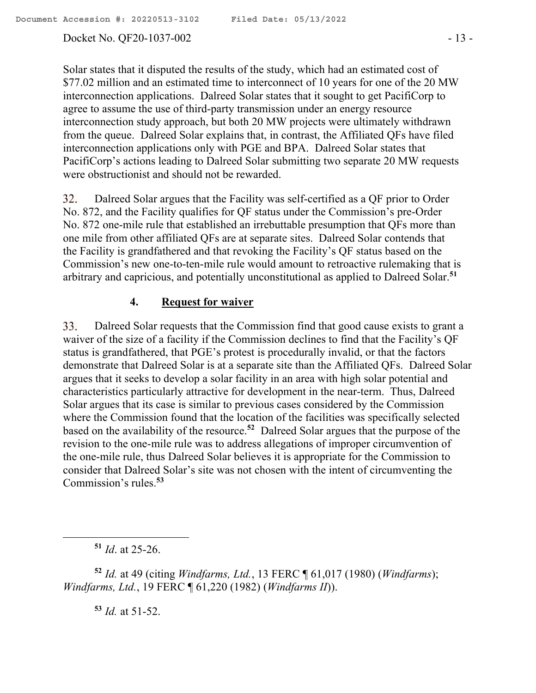### Docket No. QF20-1037-002 - 13 -

Solar states that it disputed the results of the study, which had an estimated cost of \$77.02 million and an estimated time to interconnect of 10 years for one of the 20 MW interconnection applications. Dalreed Solar states that it sought to get PacifiCorp to agree to assume the use of third-party transmission under an energy resource interconnection study approach, but both 20 MW projects were ultimately withdrawn from the queue. Dalreed Solar explains that, in contrast, the Affiliated QFs have filed interconnection applications only with PGE and BPA. Dalreed Solar states that PacifiCorp's actions leading to Dalreed Solar submitting two separate 20 MW requests were obstructionist and should not be rewarded.

32. Dalreed Solar argues that the Facility was self-certified as a QF prior to Order No. 872, and the Facility qualifies for QF status under the Commission's pre-Order No. 872 one-mile rule that established an irrebuttable presumption that QFs more than one mile from other affiliated QFs are at separate sites. Dalreed Solar contends that the Facility is grandfathered and that revoking the Facility's QF status based on the Commission's new one-to-ten-mile rule would amount to retroactive rulemaking that is arbitrary and capricious, and potentially unconstitutional as applied to Dalreed Solar.**<sup>51</sup>**

### **4. Request for waiver**

33. Dalreed Solar requests that the Commission find that good cause exists to grant a waiver of the size of a facility if the Commission declines to find that the Facility's QF status is grandfathered, that PGE's protest is procedurally invalid, or that the factors demonstrate that Dalreed Solar is at a separate site than the Affiliated QFs. Dalreed Solar argues that it seeks to develop a solar facility in an area with high solar potential and characteristics particularly attractive for development in the near-term. Thus, Dalreed Solar argues that its case is similar to previous cases considered by the Commission where the Commission found that the location of the facilities was specifically selected based on the availability of the resource.**<sup>52</sup>** Dalreed Solar argues that the purpose of the revision to the one-mile rule was to address allegations of improper circumvention of the one-mile rule, thus Dalreed Solar believes it is appropriate for the Commission to consider that Dalreed Solar's site was not chosen with the intent of circumventing the Commission's rules.**<sup>53</sup>**

**<sup>51</sup>** *Id*. at 25-26.

 $\overline{a}$ 

**<sup>52</sup>** *Id.* at 49 (citing *Windfarms, Ltd.*, 13 FERC ¶ 61,017 (1980) (*Windfarms*); *Windfarms, Ltd.*, 19 FERC ¶ 61,220 (1982) (*Windfarms II*)).

**<sup>53</sup>** *Id.* at 51-52.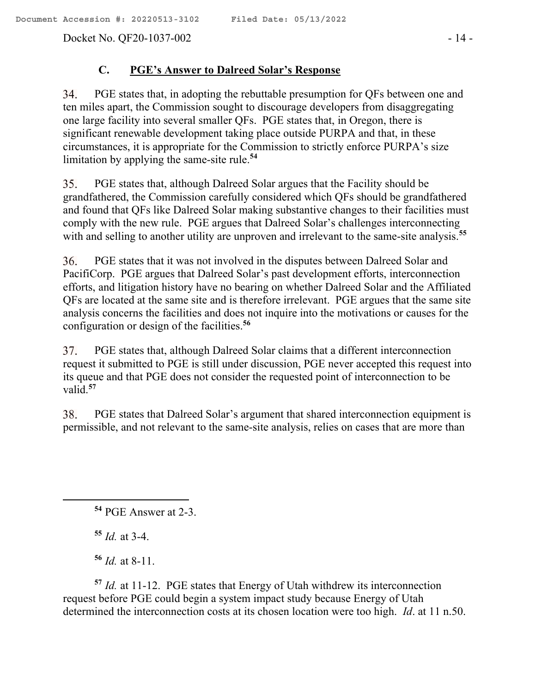Docket No. QF20-1037-002 - 14 -

### **C. PGE's Answer to Dalreed Solar's Response**

34. PGE states that, in adopting the rebuttable presumption for QFs between one and ten miles apart, the Commission sought to discourage developers from disaggregating one large facility into several smaller QFs. PGE states that, in Oregon, there is significant renewable development taking place outside PURPA and that, in these circumstances, it is appropriate for the Commission to strictly enforce PURPA's size limitation by applying the same-site rule.**<sup>54</sup>**

35. PGE states that, although Dalreed Solar argues that the Facility should be grandfathered, the Commission carefully considered which QFs should be grandfathered and found that QFs like Dalreed Solar making substantive changes to their facilities must comply with the new rule. PGE argues that Dalreed Solar's challenges interconnecting with and selling to another utility are unproven and irrelevant to the same-site analysis.**<sup>55</sup>**

36. PGE states that it was not involved in the disputes between Dalreed Solar and PacifiCorp. PGE argues that Dalreed Solar's past development efforts, interconnection efforts, and litigation history have no bearing on whether Dalreed Solar and the Affiliated QFs are located at the same site and is therefore irrelevant. PGE argues that the same site analysis concerns the facilities and does not inquire into the motivations or causes for the configuration or design of the facilities.**<sup>56</sup>**

PGE states that, although Dalreed Solar claims that a different interconnection 37. request it submitted to PGE is still under discussion, PGE never accepted this request into its queue and that PGE does not consider the requested point of interconnection to be valid.**<sup>57</sup>**

38. PGE states that Dalreed Solar's argument that shared interconnection equipment is permissible, and not relevant to the same-site analysis, relies on cases that are more than

**<sup>55</sup>** *Id.* at 3-4.

 $\overline{a}$ 

**<sup>56</sup>** *Id.* at 8-11.

**<sup>57</sup>** *Id.* at 11-12. PGE states that Energy of Utah withdrew its interconnection request before PGE could begin a system impact study because Energy of Utah determined the interconnection costs at its chosen location were too high. *Id*. at 11 n.50.

**<sup>54</sup>** PGE Answer at 2-3.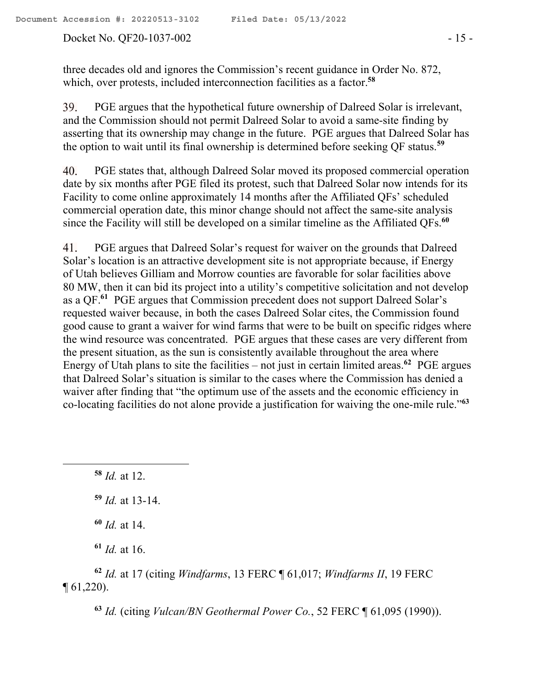#### Docket No. QF20-1037-002 - 15 -

three decades old and ignores the Commission's recent guidance in Order No. 872, which, over protests, included interconnection facilities as a factor. **58**

PGE argues that the hypothetical future ownership of Dalreed Solar is irrelevant, 39. and the Commission should not permit Dalreed Solar to avoid a same-site finding by asserting that its ownership may change in the future. PGE argues that Dalreed Solar has the option to wait until its final ownership is determined before seeking QF status.**<sup>59</sup>**

PGE states that, although Dalreed Solar moved its proposed commercial operation 40. date by six months after PGE filed its protest, such that Dalreed Solar now intends for its Facility to come online approximately 14 months after the Affiliated QFs' scheduled commercial operation date, this minor change should not affect the same-site analysis since the Facility will still be developed on a similar timeline as the Affiliated QFs.**<sup>60</sup>**

PGE argues that Dalreed Solar's request for waiver on the grounds that Dalreed 41. Solar's location is an attractive development site is not appropriate because, if Energy of Utah believes Gilliam and Morrow counties are favorable for solar facilities above 80 MW, then it can bid its project into a utility's competitive solicitation and not develop as a QF.**<sup>61</sup>** PGE argues that Commission precedent does not support Dalreed Solar's requested waiver because, in both the cases Dalreed Solar cites, the Commission found good cause to grant a waiver for wind farms that were to be built on specific ridges where the wind resource was concentrated. PGE argues that these cases are very different from the present situation, as the sun is consistently available throughout the area where Energy of Utah plans to site the facilities – not just in certain limited areas.**<sup>62</sup>** PGE argues that Dalreed Solar's situation is similar to the cases where the Commission has denied a waiver after finding that "the optimum use of the assets and the economic efficiency in co-locating facilities do not alone provide a justification for waiving the one-mile rule."**<sup>63</sup>**

**<sup>58</sup>** *Id.* at 12.

 $\overline{a}$ 

**<sup>61</sup>** *Id.* at 16.

**<sup>62</sup>** *Id.* at 17 (citing *Windfarms*, 13 FERC ¶ 61,017; *Windfarms II*, 19 FERC ¶ 61,220).

**<sup>63</sup>** *Id.* (citing *Vulcan/BN Geothermal Power Co.*, 52 FERC ¶ 61,095 (1990)).

**<sup>59</sup>** *Id.* at 13-14.

**<sup>60</sup>** *Id.* at 14.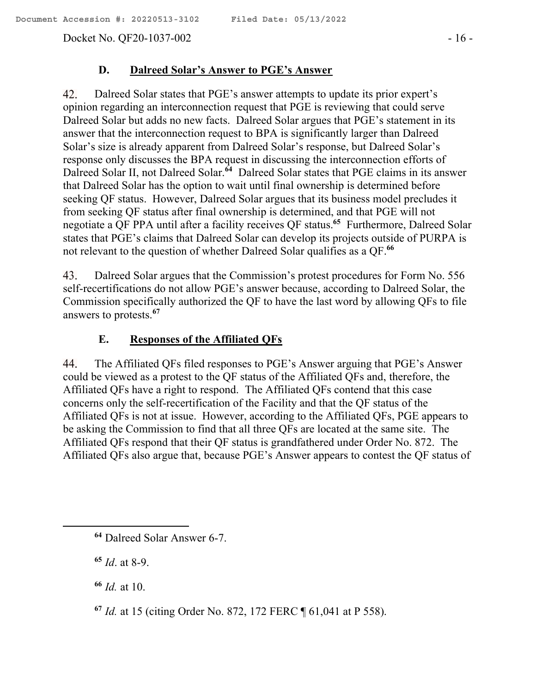Docket No. QF20-1037-002 - 16 -

#### **D. Dalreed Solar's Answer to PGE's Answer**

42. Dalreed Solar states that PGE's answer attempts to update its prior expert's opinion regarding an interconnection request that PGE is reviewing that could serve Dalreed Solar but adds no new facts. Dalreed Solar argues that PGE's statement in its answer that the interconnection request to BPA is significantly larger than Dalreed Solar's size is already apparent from Dalreed Solar's response, but Dalreed Solar's response only discusses the BPA request in discussing the interconnection efforts of Dalreed Solar II, not Dalreed Solar.<sup>64</sup> Dalreed Solar states that PGE claims in its answer that Dalreed Solar has the option to wait until final ownership is determined before seeking QF status. However, Dalreed Solar argues that its business model precludes it from seeking QF status after final ownership is determined, and that PGE will not negotiate a QF PPA until after a facility receives QF status. **65** Furthermore, Dalreed Solar states that PGE's claims that Dalreed Solar can develop its projects outside of PURPA is not relevant to the question of whether Dalreed Solar qualifies as a QF.**<sup>66</sup>**

43. Dalreed Solar argues that the Commission's protest procedures for Form No. 556 self-recertifications do not allow PGE's answer because, according to Dalreed Solar, the Commission specifically authorized the QF to have the last word by allowing QFs to file answers to protests.**<sup>67</sup>**

### **E. Responses of the Affiliated QFs**

44. The Affiliated QFs filed responses to PGE's Answer arguing that PGE's Answer could be viewed as a protest to the QF status of the Affiliated QFs and, therefore, the Affiliated QFs have a right to respond. The Affiliated QFs contend that this case concerns only the self-recertification of the Facility and that the QF status of the Affiliated QFs is not at issue. However, according to the Affiliated QFs, PGE appears to be asking the Commission to find that all three QFs are located at the same site. The Affiliated QFs respond that their QF status is grandfathered under Order No. 872. The Affiliated QFs also argue that, because PGE's Answer appears to contest the QF status of

**<sup>65</sup>** *Id*. at 8-9.

 $\overline{a}$ 

**<sup>66</sup>** *Id.* at 10.

**<sup>64</sup>** Dalreed Solar Answer 6-7.

**<sup>67</sup>** *Id.* at 15 (citing Order No. 872, 172 FERC ¶ 61,041 at P 558).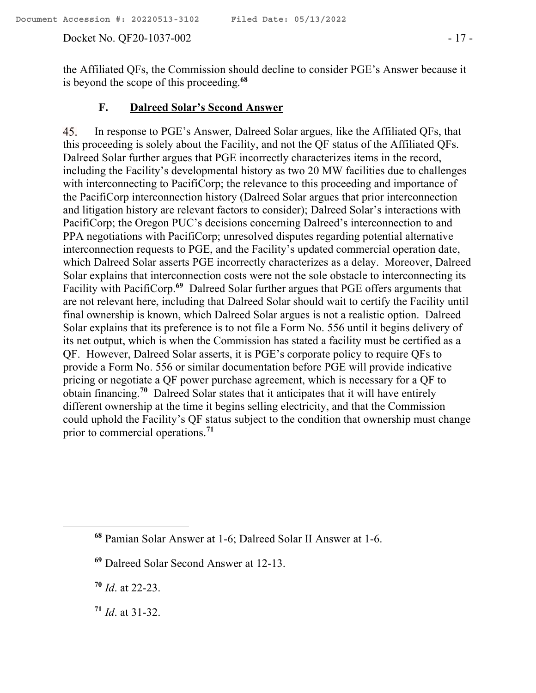#### Docket No. QF20-1037-002 - 17 -

the Affiliated QFs, the Commission should decline to consider PGE's Answer because it is beyond the scope of this proceeding. **68**

### **F. Dalreed Solar's Second Answer**

In response to PGE's Answer, Dalreed Solar argues, like the Affiliated QFs, that 45. this proceeding is solely about the Facility, and not the QF status of the Affiliated QFs. Dalreed Solar further argues that PGE incorrectly characterizes items in the record, including the Facility's developmental history as two 20 MW facilities due to challenges with interconnecting to PacifiCorp; the relevance to this proceeding and importance of the PacifiCorp interconnection history (Dalreed Solar argues that prior interconnection and litigation history are relevant factors to consider); Dalreed Solar's interactions with PacifiCorp; the Oregon PUC's decisions concerning Dalreed's interconnection to and PPA negotiations with PacifiCorp; unresolved disputes regarding potential alternative interconnection requests to PGE, and the Facility's updated commercial operation date, which Dalreed Solar asserts PGE incorrectly characterizes as a delay. Moreover, Dalreed Solar explains that interconnection costs were not the sole obstacle to interconnecting its Facility with PacifiCorp.<sup>69</sup> Dalreed Solar further argues that PGE offers arguments that are not relevant here, including that Dalreed Solar should wait to certify the Facility until final ownership is known, which Dalreed Solar argues is not a realistic option. Dalreed Solar explains that its preference is to not file a Form No. 556 until it begins delivery of its net output, which is when the Commission has stated a facility must be certified as a QF. However, Dalreed Solar asserts, it is PGE's corporate policy to require QFs to provide a Form No. 556 or similar documentation before PGE will provide indicative pricing or negotiate a QF power purchase agreement, which is necessary for a QF to obtain financing.**<sup>70</sup>** Dalreed Solar states that it anticipates that it will have entirely different ownership at the time it begins selling electricity, and that the Commission could uphold the Facility's QF status subject to the condition that ownership must change prior to commercial operations.**<sup>71</sup>**

**<sup>68</sup>** Pamian Solar Answer at 1-6; Dalreed Solar II Answer at 1-6.

**<sup>69</sup>** Dalreed Solar Second Answer at 12-13.

**<sup>70</sup>** *Id*. at 22-23.

**<sup>71</sup>** *Id*. at 31-32.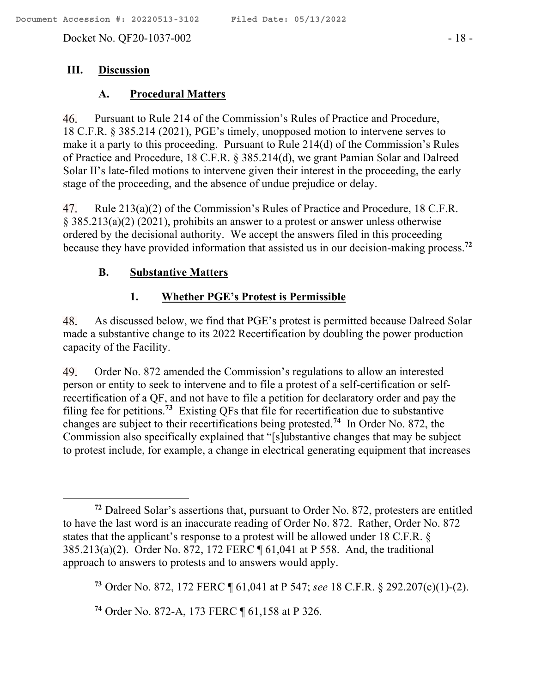Docket No. QF20-1037-002 - 18 -

### **III. Discussion**

### **A. Procedural Matters**

46. Pursuant to Rule 214 of the Commission's Rules of Practice and Procedure, 18 C.F.R. § 385.214 (2021), PGE's timely, unopposed motion to intervene serves to make it a party to this proceeding. Pursuant to Rule 214(d) of the Commission's Rules of Practice and Procedure, 18 C.F.R. § 385.214(d), we grant Pamian Solar and Dalreed Solar II's late-filed motions to intervene given their interest in the proceeding, the early stage of the proceeding, and the absence of undue prejudice or delay.

Rule 213(a)(2) of the Commission's Rules of Practice and Procedure, 18 C.F.R. 47. § 385.213(a)(2) (2021), prohibits an answer to a protest or answer unless otherwise ordered by the decisional authority. We accept the answers filed in this proceeding because they have provided information that assisted us in our decision-making process.**<sup>72</sup>**

### **B. Substantive Matters**

### **1. Whether PGE's Protest is Permissible**

48. As discussed below, we find that PGE's protest is permitted because Dalreed Solar made a substantive change to its 2022 Recertification by doubling the power production capacity of the Facility.

Order No. 872 amended the Commission's regulations to allow an interested 49. person or entity to seek to intervene and to file a protest of a self-certification or selfrecertification of a QF, and not have to file a petition for declaratory order and pay the filing fee for petitions.**<sup>73</sup>** Existing QFs that file for recertification due to substantive changes are subject to their recertifications being protested. **74** In Order No. 872, the Commission also specifically explained that "[s]ubstantive changes that may be subject to protest include, for example, a change in electrical generating equipment that increases

**<sup>74</sup>** Order No. 872-A, 173 FERC ¶ 61,158 at P 326.

**<sup>72</sup>** Dalreed Solar's assertions that, pursuant to Order No. 872, protesters are entitled to have the last word is an inaccurate reading of Order No. 872. Rather, Order No. 872 states that the applicant's response to a protest will be allowed under 18 C.F.R. § 385.213(a)(2). Order No. 872, 172 FERC ¶ 61,041 at P 558. And, the traditional approach to answers to protests and to answers would apply.

**<sup>73</sup>** Order No. 872, 172 FERC ¶ 61,041 at P 547; *see* 18 C.F.R. § 292.207(c)(1)-(2).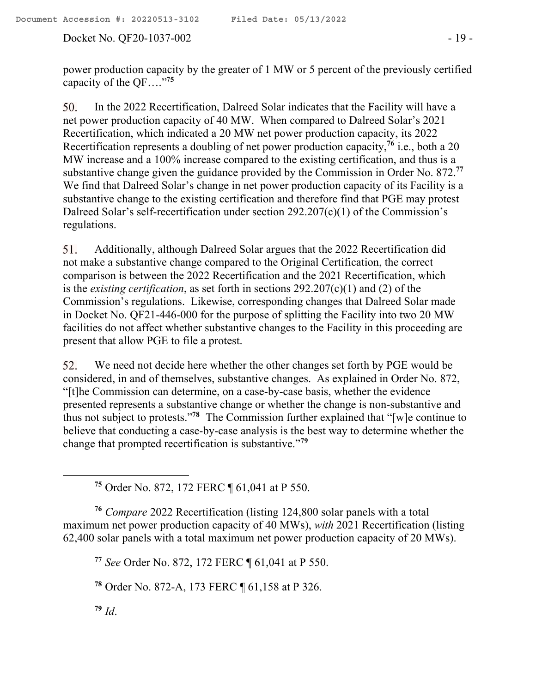Docket No. QF20-1037-002 - 19 -

power production capacity by the greater of 1 MW or 5 percent of the previously certified capacity of the QF…." **75**

In the 2022 Recertification, Dalreed Solar indicates that the Facility will have a 50. net power production capacity of 40 MW. When compared to Dalreed Solar's 2021 Recertification, which indicated a 20 MW net power production capacity, its 2022 Recertification represents a doubling of net power production capacity,**<sup>76</sup>** i.e., both a 20 MW increase and a 100% increase compared to the existing certification, and thus is a substantive change given the guidance provided by the Commission in Order No. 872.**<sup>77</sup>** We find that Dalreed Solar's change in net power production capacity of its Facility is a substantive change to the existing certification and therefore find that PGE may protest Dalreed Solar's self-recertification under section 292.207(c)(1) of the Commission's regulations.

51. Additionally, although Dalreed Solar argues that the 2022 Recertification did not make a substantive change compared to the Original Certification, the correct comparison is between the 2022 Recertification and the 2021 Recertification, which is the *existing certification*, as set forth in sections 292.207(c)(1) and (2) of the Commission's regulations. Likewise, corresponding changes that Dalreed Solar made in Docket No. QF21-446-000 for the purpose of splitting the Facility into two 20 MW facilities do not affect whether substantive changes to the Facility in this proceeding are present that allow PGE to file a protest.

We need not decide here whether the other changes set forth by PGE would be 52. considered, in and of themselves, substantive changes. As explained in Order No. 872, "[t]he Commission can determine, on a case-by-case basis, whether the evidence presented represents a substantive change or whether the change is non-substantive and thus not subject to protests."**<sup>78</sup>** The Commission further explained that "[w]e continue to believe that conducting a case-by-case analysis is the best way to determine whether the change that prompted recertification is substantive."**<sup>79</sup>**

**<sup>75</sup>** Order No. 872, 172 FERC ¶ 61,041 at P 550.

**<sup>76</sup>** *Compare* 2022 Recertification (listing 124,800 solar panels with a total maximum net power production capacity of 40 MWs), *with* 2021 Recertification (listing 62,400 solar panels with a total maximum net power production capacity of 20 MWs).

**<sup>77</sup>** *See* Order No. 872, 172 FERC ¶ 61,041 at P 550.

**<sup>78</sup>** Order No. 872-A, 173 FERC ¶ 61,158 at P 326.

**<sup>79</sup>** *Id*.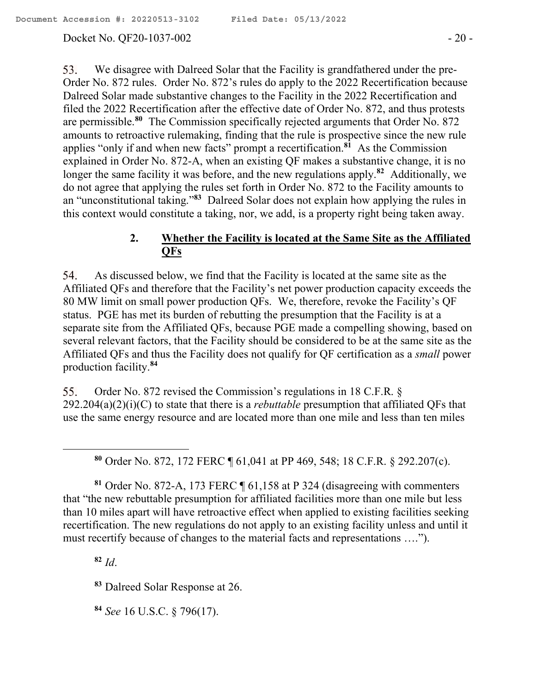### Docket No. QF20-1037-002 - 20 -

We disagree with Dalreed Solar that the Facility is grandfathered under the pre-53. Order No. 872 rules. Order No. 872's rules do apply to the 2022 Recertification because Dalreed Solar made substantive changes to the Facility in the 2022 Recertification and filed the 2022 Recertification after the effective date of Order No. 872, and thus protests are permissible. **80** The Commission specifically rejected arguments that Order No. 872 amounts to retroactive rulemaking, finding that the rule is prospective since the new rule applies "only if and when new facts" prompt a recertification.**<sup>81</sup>** As the Commission explained in Order No. 872-A, when an existing QF makes a substantive change, it is no longer the same facility it was before, and the new regulations apply.<sup>82</sup> Additionally, we do not agree that applying the rules set forth in Order No. 872 to the Facility amounts to an "unconstitutional taking."**<sup>83</sup>** Dalreed Solar does not explain how applying the rules in this context would constitute a taking, nor, we add, is a property right being taken away.

## **2. Whether the Facility is located at the Same Site as the Affiliated QFs**

54. As discussed below, we find that the Facility is located at the same site as the Affiliated QFs and therefore that the Facility's net power production capacity exceeds the 80 MW limit on small power production QFs. We, therefore, revoke the Facility's QF status. PGE has met its burden of rebutting the presumption that the Facility is at a separate site from the Affiliated QFs, because PGE made a compelling showing, based on several relevant factors, that the Facility should be considered to be at the same site as the Affiliated QFs and thus the Facility does not qualify for QF certification as a *small* power production facility.**<sup>84</sup>**

Order No. 872 revised the Commission's regulations in 18 C.F.R. § 55. 292.204(a)(2)(i)(C) to state that there is a *rebuttable* presumption that affiliated QFs that use the same energy resource and are located more than one mile and less than ten miles

**<sup>80</sup>** Order No. 872, 172 FERC ¶ 61,041 at PP 469, 548; 18 C.F.R. § 292.207(c).

**<sup>81</sup>** Order No. 872-A, 173 FERC ¶ 61,158 at P 324 (disagreeing with commenters that "the new rebuttable presumption for affiliated facilities more than one mile but less than 10 miles apart will have retroactive effect when applied to existing facilities seeking recertification. The new regulations do not apply to an existing facility unless and until it must recertify because of changes to the material facts and representations ….").

**<sup>82</sup>** *Id*.

**<sup>83</sup>** Dalreed Solar Response at 26.

**<sup>84</sup>** *See* 16 U.S.C. § 796(17).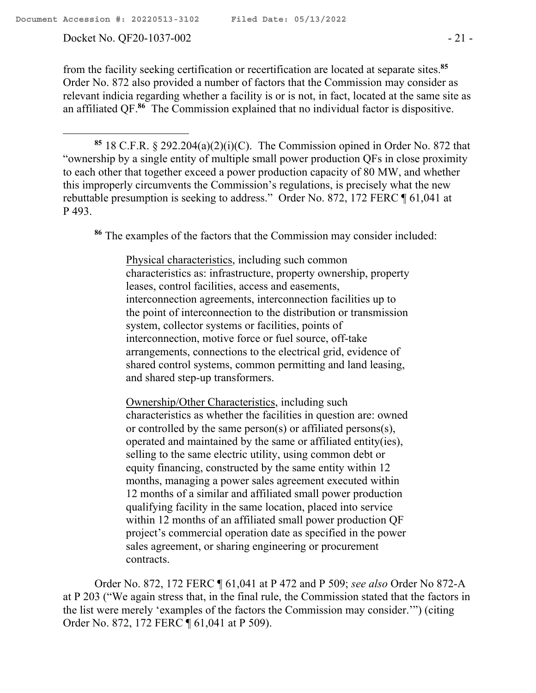Docket No. QF20-1037-002 - 21 -

from the facility seeking certification or recertification are located at separate sites.**<sup>85</sup>** Order No. 872 also provided a number of factors that the Commission may consider as relevant indicia regarding whether a facility is or is not, in fact, located at the same site as an affiliated QF. **<sup>86</sup>** The Commission explained that no individual factor is dispositive.

**<sup>85</sup>** 18 C.F.R. § 292.204(a)(2)(i)(C). The Commission opined in Order No. 872 that "ownership by a single entity of multiple small power production QFs in close proximity to each other that together exceed a power production capacity of 80 MW, and whether this improperly circumvents the Commission's regulations, is precisely what the new rebuttable presumption is seeking to address." Order No. 872, 172 FERC ¶ 61,041 at P 493.

**<sup>86</sup>** The examples of the factors that the Commission may consider included:

Physical characteristics, including such common characteristics as: infrastructure, property ownership, property leases, control facilities, access and easements, interconnection agreements, interconnection facilities up to the point of interconnection to the distribution or transmission system, collector systems or facilities, points of interconnection, motive force or fuel source, off-take arrangements, connections to the electrical grid, evidence of shared control systems, common permitting and land leasing, and shared step-up transformers.

Ownership/Other Characteristics, including such characteristics as whether the facilities in question are: owned or controlled by the same person(s) or affiliated persons(s), operated and maintained by the same or affiliated entity(ies), selling to the same electric utility, using common debt or equity financing, constructed by the same entity within 12 months, managing a power sales agreement executed within 12 months of a similar and affiliated small power production qualifying facility in the same location, placed into service within 12 months of an affiliated small power production QF project's commercial operation date as specified in the power sales agreement, or sharing engineering or procurement contracts.

Order No. 872, 172 FERC ¶ 61,041 at P 472 and P 509; *see also* Order No 872-A at P 203 ("We again stress that, in the final rule, the Commission stated that the factors in the list were merely 'examples of the factors the Commission may consider.'") (citing Order No. 872, 172 FERC ¶ 61,041 at P 509).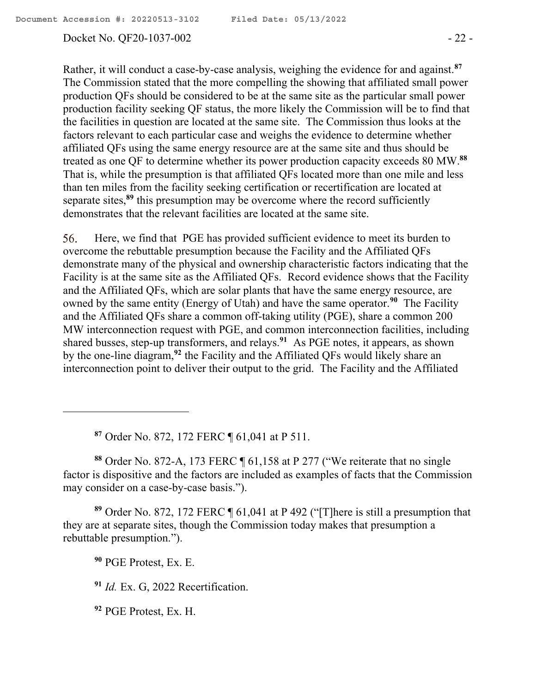#### Docket No. QF20-1037-002 - 22 -

Rather, it will conduct a case-by-case analysis, weighing the evidence for and against.**<sup>87</sup>** The Commission stated that the more compelling the showing that affiliated small power production QFs should be considered to be at the same site as the particular small power production facility seeking QF status, the more likely the Commission will be to find that the facilities in question are located at the same site. The Commission thus looks at the factors relevant to each particular case and weighs the evidence to determine whether affiliated QFs using the same energy resource are at the same site and thus should be treated as one QF to determine whether its power production capacity exceeds 80 MW.**<sup>88</sup>** That is, while the presumption is that affiliated QFs located more than one mile and less than ten miles from the facility seeking certification or recertification are located at separate sites, **<sup>89</sup>** this presumption may be overcome where the record sufficiently demonstrates that the relevant facilities are located at the same site.

Here, we find that PGE has provided sufficient evidence to meet its burden to 56. overcome the rebuttable presumption because the Facility and the Affiliated QFs demonstrate many of the physical and ownership characteristic factors indicating that the Facility is at the same site as the Affiliated QFs. Record evidence shows that the Facility and the Affiliated QFs, which are solar plants that have the same energy resource, are owned by the same entity (Energy of Utah) and have the same operator.**<sup>90</sup>** The Facility and the Affiliated QFs share a common off-taking utility (PGE), share a common 200 MW interconnection request with PGE, and common interconnection facilities, including shared busses, step-up transformers, and relays.**<sup>91</sup>** As PGE notes, it appears, as shown by the one-line diagram,**<sup>92</sup>** the Facility and the Affiliated QFs would likely share an interconnection point to deliver their output to the grid. The Facility and the Affiliated

**<sup>87</sup>** Order No. 872, 172 FERC ¶ 61,041 at P 511.

**<sup>88</sup>** Order No. 872-A, 173 FERC ¶ 61,158 at P 277 ("We reiterate that no single factor is dispositive and the factors are included as examples of facts that the Commission may consider on a case-by-case basis.").

**<sup>89</sup>** Order No. 872, 172 FERC ¶ 61,041 at P 492 ("[T]here is still a presumption that they are at separate sites, though the Commission today makes that presumption a rebuttable presumption.").

**<sup>90</sup>** PGE Protest, Ex. E.

**<sup>91</sup>** *Id.* Ex. G, 2022 Recertification.

**<sup>92</sup>** PGE Protest, Ex. H.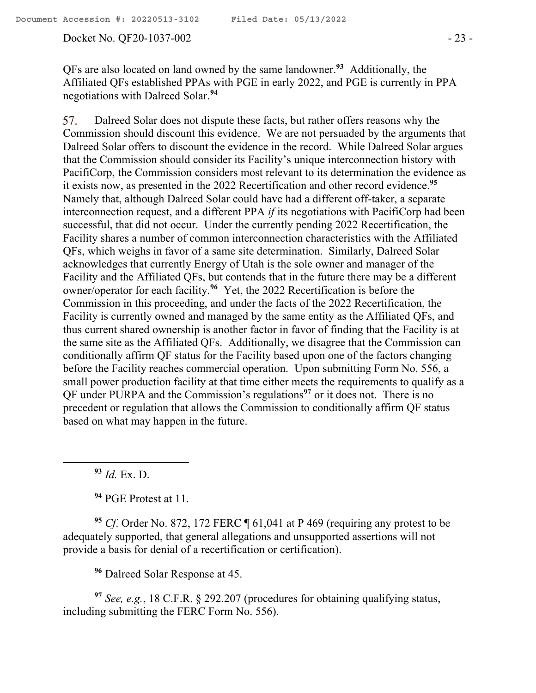#### Docket No. QF20-1037-002 - 23 -

QFs are also located on land owned by the same landowner.**<sup>93</sup>** Additionally, the Affiliated QFs established PPAs with PGE in early 2022, and PGE is currently in PPA negotiations with Dalreed Solar.**<sup>94</sup>**

Dalreed Solar does not dispute these facts, but rather offers reasons why the 57. Commission should discount this evidence. We are not persuaded by the arguments that Dalreed Solar offers to discount the evidence in the record. While Dalreed Solar argues that the Commission should consider its Facility's unique interconnection history with PacifiCorp, the Commission considers most relevant to its determination the evidence as it exists now, as presented in the 2022 Recertification and other record evidence.**<sup>95</sup>** Namely that, although Dalreed Solar could have had a different off-taker, a separate interconnection request, and a different PPA *if* its negotiations with PacifiCorp had been successful, that did not occur. Under the currently pending 2022 Recertification, the Facility shares a number of common interconnection characteristics with the Affiliated QFs, which weighs in favor of a same site determination. Similarly, Dalreed Solar acknowledges that currently Energy of Utah is the sole owner and manager of the Facility and the Affiliated QFs, but contends that in the future there may be a different owner/operator for each facility.**<sup>96</sup>** Yet, the 2022 Recertification is before the Commission in this proceeding, and under the facts of the 2022 Recertification, the Facility is currently owned and managed by the same entity as the Affiliated QFs, and thus current shared ownership is another factor in favor of finding that the Facility is at the same site as the Affiliated QFs. Additionally, we disagree that the Commission can conditionally affirm QF status for the Facility based upon one of the factors changing before the Facility reaches commercial operation. Upon submitting Form No. 556, a small power production facility at that time either meets the requirements to qualify as a QF under PURPA and the Commission's regulations**<sup>97</sup>** or it does not. There is no precedent or regulation that allows the Commission to conditionally affirm QF status based on what may happen in the future.

**<sup>93</sup>** *Id.* Ex. D.

 $\overline{a}$ 

**<sup>94</sup>** PGE Protest at 11.

**<sup>95</sup>** *Cf*. Order No. 872, 172 FERC ¶ 61,041 at P 469 (requiring any protest to be adequately supported, that general allegations and unsupported assertions will not provide a basis for denial of a recertification or certification).

**<sup>96</sup>** Dalreed Solar Response at 45.

**<sup>97</sup>** *See, e.g.*, 18 C.F.R. § 292.207 (procedures for obtaining qualifying status, including submitting the FERC Form No. 556).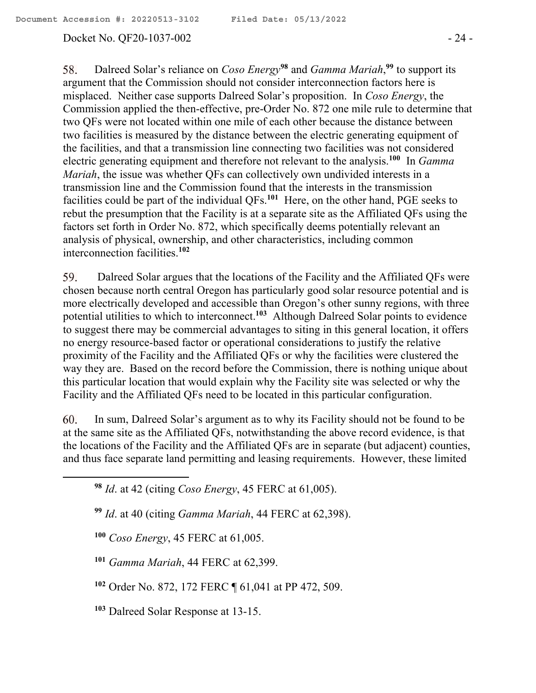### Docket No. QF20-1037-002 - 24 -

58. Dalreed Solar's reliance on *Coso Energy***<sup>98</sup>** and *Gamma Mariah*, **<sup>99</sup>** to support its argument that the Commission should not consider interconnection factors here is misplaced. Neither case supports Dalreed Solar's proposition. In *Coso Energy*, the Commission applied the then-effective, pre-Order No. 872 one mile rule to determine that two QFs were not located within one mile of each other because the distance between two facilities is measured by the distance between the electric generating equipment of the facilities, and that a transmission line connecting two facilities was not considered electric generating equipment and therefore not relevant to the analysis.<sup>100</sup> In *Gamma Mariah*, the issue was whether QFs can collectively own undivided interests in a transmission line and the Commission found that the interests in the transmission facilities could be part of the individual QFs.**<sup>101</sup>** Here, on the other hand, PGE seeks to rebut the presumption that the Facility is at a separate site as the Affiliated QFs using the factors set forth in Order No. 872, which specifically deems potentially relevant an analysis of physical, ownership, and other characteristics, including common interconnection facilities.**<sup>102</sup>**

59. Dalreed Solar argues that the locations of the Facility and the Affiliated QFs were chosen because north central Oregon has particularly good solar resource potential and is more electrically developed and accessible than Oregon's other sunny regions, with three potential utilities to which to interconnect.**<sup>103</sup>** Although Dalreed Solar points to evidence to suggest there may be commercial advantages to siting in this general location, it offers no energy resource-based factor or operational considerations to justify the relative proximity of the Facility and the Affiliated QFs or why the facilities were clustered the way they are. Based on the record before the Commission, there is nothing unique about this particular location that would explain why the Facility site was selected or why the Facility and the Affiliated QFs need to be located in this particular configuration.

60. In sum, Dalreed Solar's argument as to why its Facility should not be found to be at the same site as the Affiliated QFs, notwithstanding the above record evidence, is that the locations of the Facility and the Affiliated QFs are in separate (but adjacent) counties, and thus face separate land permitting and leasing requirements. However, these limited

**<sup>100</sup>** *Coso Energy*, 45 FERC at 61,005.

- **<sup>101</sup>** *Gamma Mariah*, 44 FERC at 62,399.
- **<sup>102</sup>** Order No. 872, 172 FERC ¶ 61,041 at PP 472, 509.
- **<sup>103</sup>** Dalreed Solar Response at 13-15.

**<sup>98</sup>** *Id*. at 42 (citing *Coso Energy*, 45 FERC at 61,005).

**<sup>99</sup>** *Id*. at 40 (citing *Gamma Mariah*, 44 FERC at 62,398).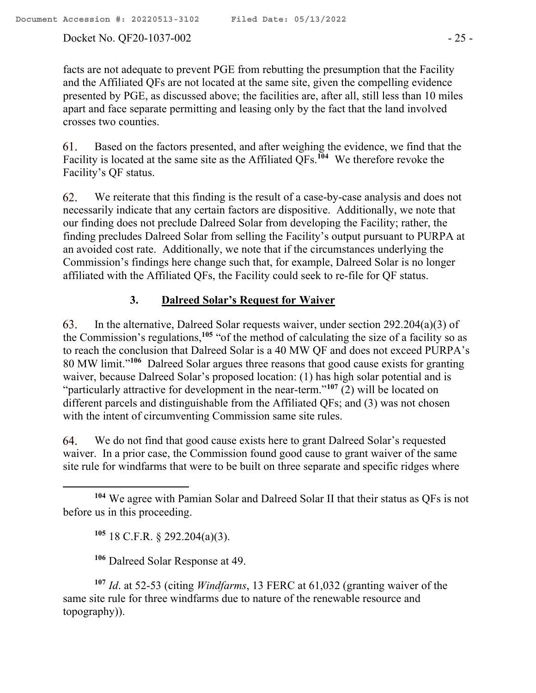#### Docket No. QF20-1037-002 - 25 -

facts are not adequate to prevent PGE from rebutting the presumption that the Facility and the Affiliated QFs are not located at the same site, given the compelling evidence presented by PGE, as discussed above; the facilities are, after all, still less than 10 miles apart and face separate permitting and leasing only by the fact that the land involved crosses two counties.

Based on the factors presented, and after weighing the evidence, we find that the 61. Facility is located at the same site as the Affiliated QFs.**<sup>104</sup>** We therefore revoke the Facility's QF status.

62. We reiterate that this finding is the result of a case-by-case analysis and does not necessarily indicate that any certain factors are dispositive. Additionally, we note that our finding does not preclude Dalreed Solar from developing the Facility; rather, the finding precludes Dalreed Solar from selling the Facility's output pursuant to PURPA at an avoided cost rate. Additionally, we note that if the circumstances underlying the Commission's findings here change such that, for example, Dalreed Solar is no longer affiliated with the Affiliated QFs, the Facility could seek to re-file for QF status.

### **3. Dalreed Solar's Request for Waiver**

63. In the alternative, Dalreed Solar requests waiver, under section 292.204(a)(3) of the Commission's regulations,**<sup>105</sup>** "of the method of calculating the size of a facility so as to reach the conclusion that Dalreed Solar is a 40 MW QF and does not exceed PURPA's 80 MW limit." **106** Dalreed Solar argues three reasons that good cause exists for granting waiver, because Dalreed Solar's proposed location: (1) has high solar potential and is "particularly attractive for development in the near-term."**<sup>107</sup>** (2) will be located on different parcels and distinguishable from the Affiliated QFs; and (3) was not chosen with the intent of circumventing Commission same site rules.

We do not find that good cause exists here to grant Dalreed Solar's requested 64. waiver. In a prior case, the Commission found good cause to grant waiver of the same site rule for windfarms that were to be built on three separate and specific ridges where

**<sup>105</sup>** 18 C.F.R. § 292.204(a)(3).

 $\overline{a}$ 

**<sup>106</sup>** Dalreed Solar Response at 49.

**<sup>107</sup>** *Id*. at 52-53 (citing *Windfarms*, 13 FERC at 61,032 (granting waiver of the same site rule for three windfarms due to nature of the renewable resource and topography)).

**<sup>104</sup>** We agree with Pamian Solar and Dalreed Solar II that their status as QFs is not before us in this proceeding.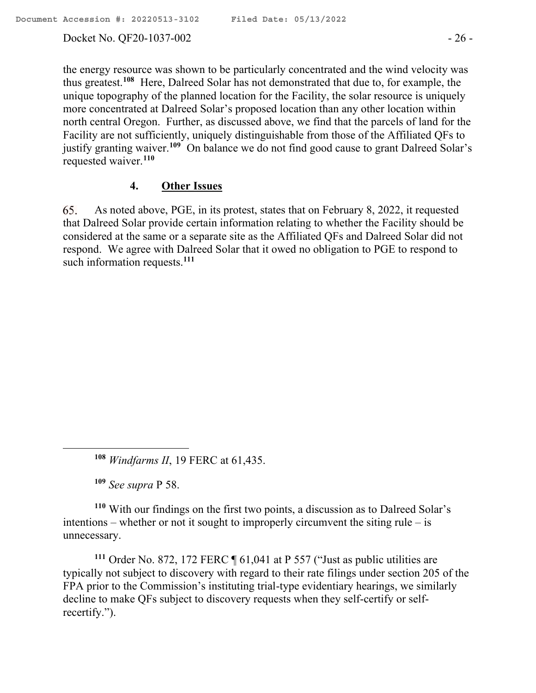### Docket No. QF20-1037-002 - 26 -

thus greatest.**<sup>108</sup>** Here, Dalreed Solar has not demonstrated that due to, for example, the unique topography of the planned location for the Facility, the solar resource is uniquely more concentrated at Dalreed Solar's proposed location than any other location within north central Oregon. Further, as discussed above, we find that the parcels of land for the Facility are not sufficiently, uniquely distinguishable from those of the Affiliated QFs to justify granting waiver.<sup>109</sup> On balance we do not find good cause to grant Dalreed Solar's requested waiver.**<sup>110</sup>**

### **4. Other Issues**

65. As noted above, PGE, in its protest, states that on February 8, 2022, it requested that Dalreed Solar provide certain information relating to whether the Facility should be considered at the same or a separate site as the Affiliated QFs and Dalreed Solar did not respond. We agree with Dalreed Solar that it owed no obligation to PGE to respond to such information requests.**<sup>111</sup>**

**<sup>109</sup>** *See supra* P 58.

 $\overline{a}$ 

**<sup>110</sup>** With our findings on the first two points, a discussion as to Dalreed Solar's intentions – whether or not it sought to improperly circumvent the siting rule – is unnecessary.

**<sup>111</sup>** Order No. 872, 172 FERC ¶ 61,041 at P 557 ("Just as public utilities are typically not subject to discovery with regard to their rate filings under section 205 of the FPA prior to the Commission's instituting trial-type evidentiary hearings, we similarly decline to make QFs subject to discovery requests when they self-certify or selfrecertify.").

**<sup>108</sup>** *Windfarms II*, 19 FERC at 61,435.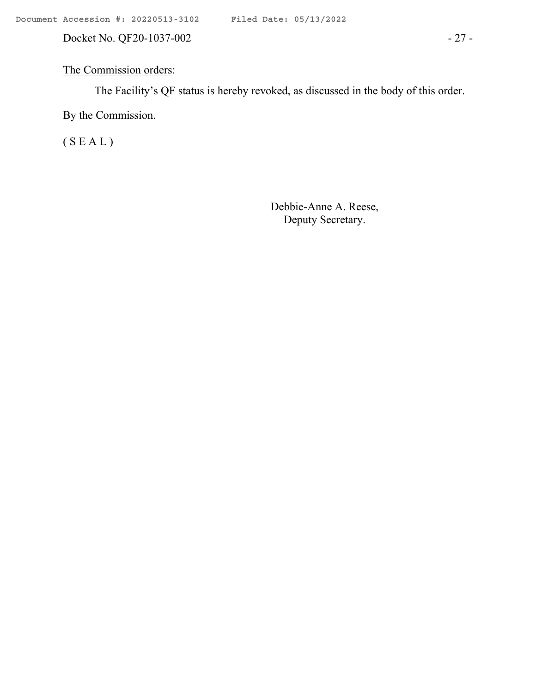Docket No. QF20-1037-002 - 27 -

# The Commission orders:

The Facility's QF status is hereby revoked, as discussed in the body of this order.

By the Commission.

( S E A L )

Debbie-Anne A. Reese, Deputy Secretary.